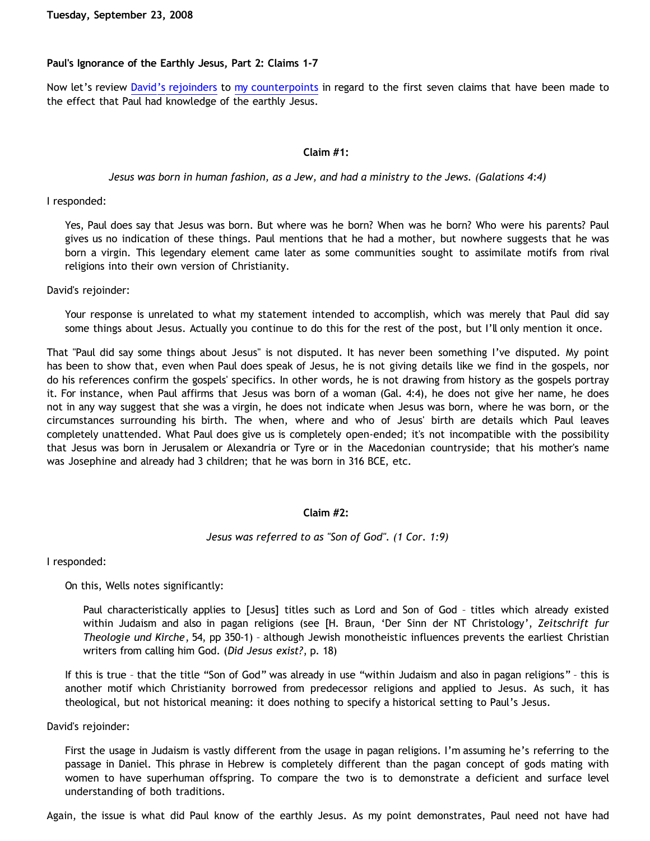# **Paul's Ignorance of the Earthly Jesus, Part 2: Claims 1-7**

Now let's review [David's rejoinders](http://bahnsenburner.blogspot.com/2008/08/another-response-to-david-part-5-pauls.html) to [my counterpoints](http://bahnsenburner.blogspot.com/2008/08/another-response-to-david-part-5-pauls.html) in regard to the first seven claims that have been made to the effect that Paul had knowledge of the earthly Jesus.

## **Claim #1:**

## *Jesus was born in human fashion, as a Jew, and had a ministry to the Jews. (Galations 4:4)*

I responded:

Yes, Paul does say that Jesus was born. But where was he born? When was he born? Who were his parents? Paul gives us no indication of these things. Paul mentions that he had a mother, but nowhere suggests that he was born a virgin. This legendary element came later as some communities sought to assimilate motifs from rival religions into their own version of Christianity.

David's rejoinder:

Your response is unrelated to what my statement intended to accomplish, which was merely that Paul did say some things about Jesus. Actually you continue to do this for the rest of the post, but I'll only mention it once.

That "Paul did say some things about Jesus" is not disputed. It has never been something I've disputed. My point has been to show that, even when Paul does speak of Jesus, he is not giving details like we find in the gospels, nor do his references confirm the gospels' specifics. In other words, he is not drawing from history as the gospels portray it. For instance, when Paul affirms that Jesus was born of a woman (Gal. 4:4), he does not give her name, he does not in any way suggest that she was a virgin, he does not indicate when Jesus was born, where he was born, or the circumstances surrounding his birth. The when, where and who of Jesus' birth are details which Paul leaves completely unattended. What Paul does give us is completely open-ended; it's not incompatible with the possibility that Jesus was born in Jerusalem or Alexandria or Tyre or in the Macedonian countryside; that his mother's name was Josephine and already had 3 children; that he was born in 316 BCE, etc.

# **Claim #2:**

*Jesus was referred to as "Son of God". (1 Cor. 1:9)*

I responded:

On this, Wells notes significantly:

Paul characteristically applies to [Jesus] titles such as Lord and Son of God - titles which already existed within Judaism and also in pagan religions (see [H. Braun, 'Der Sinn der NT Christology', *Zeitschrift fur Theologie und Kirche*, 54, pp 350-1) – although Jewish monotheistic influences prevents the earliest Christian writers from calling him God. (*Did Jesus exist?*, p. 18)

If this is true – that the title "Son of God" was already in use "within Judaism and also in pagan religions" – this is another motif which Christianity borrowed from predecessor religions and applied to Jesus. As such, it has theological, but not historical meaning: it does nothing to specify a historical setting to Paul's Jesus.

David's rejoinder:

First the usage in Judaism is vastly different from the usage in pagan religions. I'm assuming he's referring to the passage in Daniel. This phrase in Hebrew is completely different than the pagan concept of gods mating with women to have superhuman offspring. To compare the two is to demonstrate a deficient and surface level understanding of both traditions.

Again, the issue is what did Paul know of the earthly Jesus. As my point demonstrates, Paul need not have had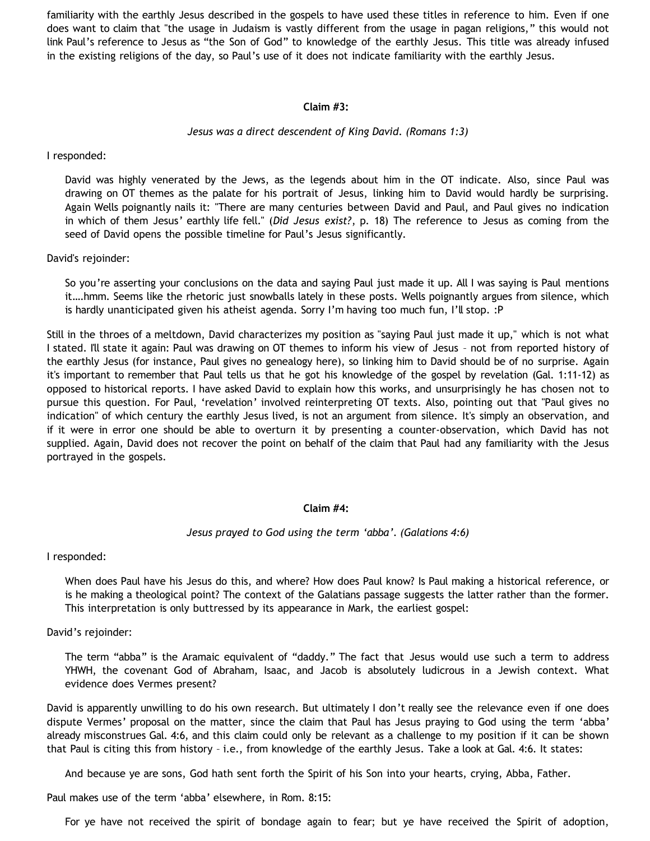familiarity with the earthly Jesus described in the gospels to have used these titles in reference to him. Even if one does want to claim that "the usage in Judaism is vastly different from the usage in pagan religions," this would not link Paul's reference to Jesus as "the Son of God" to knowledge of the earthly Jesus. This title was already infused in the existing religions of the day, so Paul's use of it does not indicate familiarity with the earthly Jesus.

## **Claim #3:**

## *Jesus was a direct descendent of King David. (Romans 1:3)*

I responded:

David was highly venerated by the Jews, as the legends about him in the OT indicate. Also, since Paul was drawing on OT themes as the palate for his portrait of Jesus, linking him to David would hardly be surprising. Again Wells poignantly nails it: "There are many centuries between David and Paul, and Paul gives no indication in which of them Jesus' earthly life fell." (*Did Jesus exist?*, p. 18) The reference to Jesus as coming from the seed of David opens the possible timeline for Paul's Jesus significantly.

David's rejoinder:

So you're asserting your conclusions on the data and saying Paul just made it up. All I was saying is Paul mentions it….hmm. Seems like the rhetoric just snowballs lately in these posts. Wells poignantly argues from silence, which is hardly unanticipated given his atheist agenda. Sorry I'm having too much fun, I'll stop. : P

Still in the throes of a meltdown, David characterizes my position as "saying Paul just made it up," which is not what I stated. I'll state it again: Paul was drawing on OT themes to inform his view of Jesus – not from reported history of the earthly Jesus (for instance, Paul gives no genealogy here), so linking him to David should be of no surprise. Again it's important to remember that Paul tells us that he got his knowledge of the gospel by revelation (Gal. 1:11-12) as opposed to historical reports. I have asked David to explain how this works, and unsurprisingly he has chosen not to pursue this question. For Paul, 'revelation' involved reinterpreting OT texts. Also, pointing out that "Paul gives no indication" of which century the earthly Jesus lived, is not an argument from silence. It's simply an observation, and if it were in error one should be able to overturn it by presenting a counter-observation, which David has not supplied. Again, David does not recover the point on behalf of the claim that Paul had any familiarity with the Jesus portrayed in the gospels.

# **Claim #4:**

*Jesus prayed to God using the term 'abba'. (Galations 4:6)*

I responded:

When does Paul have his Jesus do this, and where? How does Paul know? Is Paul making a historical reference, or is he making a theological point? The context of the Galatians passage suggests the latter rather than the former. This interpretation is only buttressed by its appearance in Mark, the earliest gospel:

David's rejoinder:

The term "abba" is the Aramaic equivalent of "daddy." The fact that Jesus would use such a term to address YHWH, the covenant God of Abraham, Isaac, and Jacob is absolutely ludicrous in a Jewish context. What evidence does Vermes present?

David is apparently unwilling to do his own research. But ultimately I don't really see the relevance even if one does dispute Vermes' proposal on the matter, since the claim that Paul has Jesus praying to God using the term 'abba' already misconstrues Gal. 4:6, and this claim could only be relevant as a challenge to my position if it can be shown that Paul is citing this from history – i.e., from knowledge of the earthly Jesus. Take a look at Gal. 4:6. It states:

And because ye are sons, God hath sent forth the Spirit of his Son into your hearts, crying, Abba, Father.

Paul makes use of the term 'abba' elsewhere, in Rom. 8:15:

For ye have not received the spirit of bondage again to fear; but ye have received the Spirit of adoption,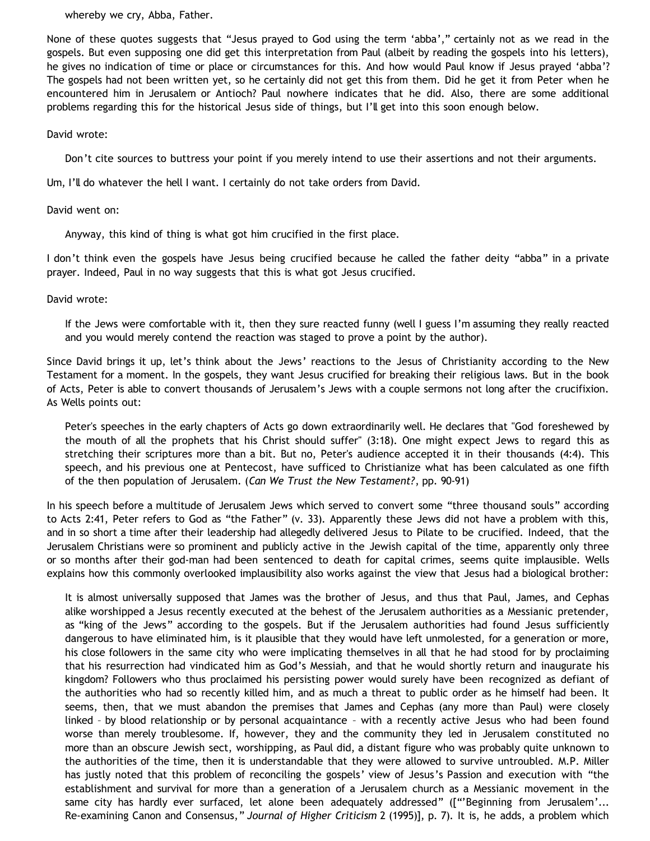whereby we cry, Abba, Father.

None of these quotes suggests that "Jesus prayed to God using the term 'abba'," certainly not as we read in the gospels. But even supposing one did get this interpretation from Paul (albeit by reading the gospels into his letters), he gives no indication of time or place or circumstances for this. And how would Paul know if Jesus prayed 'abba'? The gospels had not been written yet, so he certainly did not get this from them. Did he get it from Peter when he encountered him in Jerusalem or Antioch? Paul nowhere indicates that he did. Also, there are some additional problems regarding this for the historical Jesus side of things, but I'll get into this soon enough below.

# David wrote:

Don't cite sources to buttress your point if you merely intend to use their assertions and not their arguments.

Um, I'll do whatever the hell I want. I certainly do not take orders from David.

# David went on:

Anyway, this kind of thing is what got him crucified in the first place.

I don't think even the gospels have Jesus being crucified because he called the father deity "abba" in a private prayer. Indeed, Paul in no way suggests that this is what got Jesus crucified.

David wrote:

If the Jews were comfortable with it, then they sure reacted funny (well I guess I'm assuming they really reacted and you would merely contend the reaction was staged to prove a point by the author).

Since David brings it up, let's think about the Jews' reactions to the Jesus of Christianity according to the New Testament for a moment. In the gospels, they want Jesus crucified for breaking their religious laws. But in the book of Acts, Peter is able to convert thousands of Jerusalem's Jews with a couple sermons not long after the crucifixion. As Wells points out:

Peter's speeches in the early chapters of Acts go down extraordinarily well. He declares that "God foreshewed by the mouth of all the prophets that his Christ should suffer" (3:18). One might expect Jews to regard this as stretching their scriptures more than a bit. But no, Peter's audience accepted it in their thousands (4:4). This speech, and his previous one at Pentecost, have sufficed to Christianize what has been calculated as one fifth of the then population of Jerusalem. (*Can We Trust the New Testament?*, pp. 90-91)

In his speech before a multitude of Jerusalem Jews which served to convert some "three thousand souls" according to Acts 2:41, Peter refers to God as "the Father" (v. 33). Apparently these Jews did not have a problem with this, and in so short a time after their leadership had allegedly delivered Jesus to Pilate to be crucified. Indeed, that the Jerusalem Christians were so prominent and publicly active in the Jewish capital of the time, apparently only three or so months after their god-man had been sentenced to death for capital crimes, seems quite implausible. Wells explains how this commonly overlooked implausibility also works against the view that Jesus had a biological brother:

It is almost universally supposed that James was the brother of Jesus, and thus that Paul, James, and Cephas alike worshipped a Jesus recently executed at the behest of the Jerusalem authorities as a Messianic pretender, as "king of the Jews" according to the gospels. But if the Jerusalem authorities had found Jesus sufficiently dangerous to have eliminated him, is it plausible that they would have left unmolested, for a generation or more, his close followers in the same city who were implicating themselves in all that he had stood for by proclaiming that his resurrection had vindicated him as God's Messiah, and that he would shortly return and inaugurate his kingdom? Followers who thus proclaimed his persisting power would surely have been recognized as defiant of the authorities who had so recently killed him, and as much a threat to public order as he himself had been. It seems, then, that we must abandon the premises that James and Cephas (any more than Paul) were closely linked – by blood relationship or by personal acquaintance – with a recently active Jesus who had been found worse than merely troublesome. If, however, they and the community they led in Jerusalem constituted no more than an obscure Jewish sect, worshipping, as Paul did, a distant figure who was probably quite unknown to the authorities of the time, then it is understandable that they were allowed to survive untroubled. M.P. Miller has justly noted that this problem of reconciling the gospels' view of Jesus's Passion and execution with "the establishment and survival for more than a generation of a Jerusalem church as a Messianic movement in the same city has hardly ever surfaced, let alone been adequately addressed" (["Beginning from Jerusalem'... Re-examining Canon and Consensus," *Journal of Higher Criticism* 2 (1995)], p. 7). It is, he adds, a problem which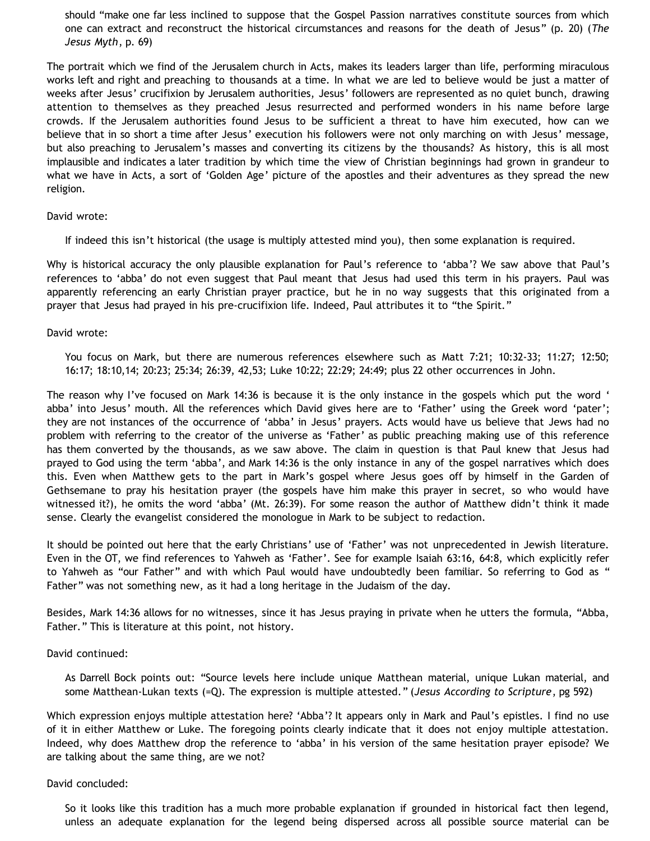should "make one far less inclined to suppose that the Gospel Passion narratives constitute sources from which one can extract and reconstruct the historical circumstances and reasons for the death of Jesus" (p. 20) (*The Jesus Myth*, p. 69)

The portrait which we find of the Jerusalem church in Acts, makes its leaders larger than life, performing miraculous works left and right and preaching to thousands at a time. In what we are led to believe would be just a matter of weeks after Jesus' crucifixion by Jerusalem authorities, Jesus' followers are represented as no quiet bunch, drawing attention to themselves as they preached Jesus resurrected and performed wonders in his name before large crowds. If the Jerusalem authorities found Jesus to be sufficient a threat to have him executed, how can we believe that in so short a time after Jesus' execution his followers were not only marching on with Jesus' message, but also preaching to Jerusalem's masses and converting its citizens by the thousands? As history, this is all most implausible and indicates a later tradition by which time the view of Christian beginnings had grown in grandeur to what we have in Acts, a sort of 'Golden Age' picture of the apostles and their adventures as they spread the new religion.

## David wrote:

If indeed this isn't historical (the usage is multiply attested mind you), then some explanation is required.

Why is historical accuracy the only plausible explanation for Paul's reference to 'abba'? We saw above that Paul's references to 'abba' do not even suggest that Paul meant that Jesus had used this term in his prayers. Paul was apparently referencing an early Christian prayer practice, but he in no way suggests that this originated from a prayer that Jesus had prayed in his pre-crucifixion life. Indeed, Paul attributes it to "the Spirit."

## David wrote:

You focus on Mark, but there are numerous references elsewhere such as Matt 7:21; 10:32-33; 11:27; 12:50; 16:17; 18:10,14; 20:23; 25:34; 26:39, 42,53; Luke 10:22; 22:29; 24:49; plus 22 other occurrences in John.

The reason why I've focused on Mark 14:36 is because it is the only instance in the gospels which put the word ' abba' into Jesus' mouth. All the references which David gives here are to 'Father' using the Greek word 'pater'; they are not instances of the occurrence of 'abba' in Jesus' prayers. Acts would have us believe that Jews had no problem with referring to the creator of the universe as 'Father' as public preaching making use of this reference has them converted by the thousands, as we saw above. The claim in question is that Paul knew that Jesus had prayed to God using the term 'abba', and Mark 14:36 is the only instance in any of the gospel narratives which does this. Even when Matthew gets to the part in Mark's gospel where Jesus goes off by himself in the Garden of Gethsemane to pray his hesitation prayer (the gospels have him make this prayer in secret, so who would have witnessed it?), he omits the word 'abba' (Mt. 26:39). For some reason the author of Matthew didn't think it made sense. Clearly the evangelist considered the monologue in Mark to be subject to redaction.

It should be pointed out here that the early Christians' use of 'Father' was not unprecedented in Jewish literature. Even in the OT, we find references to Yahweh as 'Father'. See for example Isaiah 63:16, 64:8, which explicitly refer to Yahweh as "our Father" and with which Paul would have undoubtedly been familiar. So referring to God as " Father" was not something new, as it had a long heritage in the Judaism of the day.

Besides, Mark 14:36 allows for no witnesses, since it has Jesus praying in private when he utters the formula, "Abba, Father." This is literature at this point, not history.

# David continued:

As Darrell Bock points out: "Source levels here include unique Matthean material, unique Lukan material, and some Matthean-Lukan texts (=Q). The expression is multiple attested." (*Jesus According to Scripture*, pg 592)

Which expression enjoys multiple attestation here? 'Abba'? It appears only in Mark and Paul's epistles. I find no use of it in either Matthew or Luke. The foregoing points clearly indicate that it does not enjoy multiple attestation. Indeed, why does Matthew drop the reference to 'abba' in his version of the same hesitation prayer episode? We are talking about the same thing, are we not?

#### David concluded:

So it looks like this tradition has a much more probable explanation if grounded in historical fact then legend, unless an adequate explanation for the legend being dispersed across all possible source material can be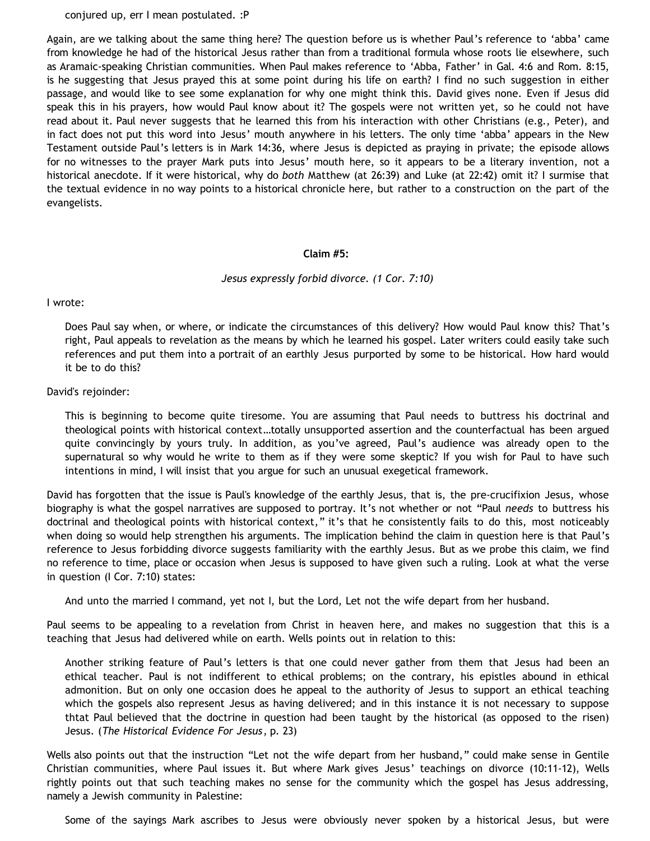conjured up, err I mean postulated. :P

Again, are we talking about the same thing here? The question before us is whether Paul's reference to 'abba' came from knowledge he had of the historical Jesus rather than from a traditional formula whose roots lie elsewhere, such as Aramaic-speaking Christian communities. When Paul makes reference to 'Abba, Father' in Gal. 4:6 and Rom. 8:15, is he suggesting that Jesus prayed this at some point during his life on earth? I find no such suggestion in either passage, and would like to see some explanation for why one might think this. David gives none. Even if Jesus did speak this in his prayers, how would Paul know about it? The gospels were not written yet, so he could not have read about it. Paul never suggests that he learned this from his interaction with other Christians (e.g., Peter), and in fact does not put this word into Jesus' mouth anywhere in his letters. The only time 'abba' appears in the New Testament outside Paul's letters is in Mark 14:36, where Jesus is depicted as praying in private; the episode allows for no witnesses to the prayer Mark puts into Jesus' mouth here, so it appears to be a literary invention, not a historical anecdote. If it were historical, why do *both* Matthew (at 26:39) and Luke (at 22:42) omit it? I surmise that the textual evidence in no way points to a historical chronicle here, but rather to a construction on the part of the evangelists.

#### **Claim #5:**

## *Jesus expressly forbid divorce. (1 Cor. 7:10)*

#### I wrote:

Does Paul say when, or where, or indicate the circumstances of this delivery? How would Paul know this? That's right, Paul appeals to revelation as the means by which he learned his gospel. Later writers could easily take such references and put them into a portrait of an earthly Jesus purported by some to be historical. How hard would it be to do this?

## David's rejoinder:

This is beginning to become quite tiresome. You are assuming that Paul needs to buttress his doctrinal and theological points with historical context…totally unsupported assertion and the counterfactual has been argued quite convincingly by yours truly. In addition, as you've agreed, Paul's audience was already open to the supernatural so why would he write to them as if they were some skeptic? If you wish for Paul to have such intentions in mind, I will insist that you argue for such an unusual exegetical framework.

David has forgotten that the issue is Paul's knowledge of the earthly Jesus, that is, the pre-crucifixion Jesus, whose biography is what the gospel narratives are supposed to portray. It's not whether or not "Paul *needs* to buttress his doctrinal and theological points with historical context," it's that he consistently fails to do this, most noticeably when doing so would help strengthen his arguments. The implication behind the claim in question here is that Paul's reference to Jesus forbidding divorce suggests familiarity with the earthly Jesus. But as we probe this claim, we find no reference to time, place or occasion when Jesus is supposed to have given such a ruling. Look at what the verse in question (I Cor. 7:10) states:

And unto the married I command, yet not I, but the Lord, Let not the wife depart from her husband.

Paul seems to be appealing to a revelation from Christ in heaven here, and makes no suggestion that this is a teaching that Jesus had delivered while on earth. Wells points out in relation to this:

Another striking feature of Paul's letters is that one could never gather from them that Jesus had been an ethical teacher. Paul is not indifferent to ethical problems; on the contrary, his epistles abound in ethical admonition. But on only one occasion does he appeal to the authority of Jesus to support an ethical teaching which the gospels also represent Jesus as having delivered; and in this instance it is not necessary to suppose thtat Paul believed that the doctrine in question had been taught by the historical (as opposed to the risen) Jesus. (*The Historical Evidence For Jesus*, p. 23)

Wells also points out that the instruction "Let not the wife depart from her husband," could make sense in Gentile Christian communities, where Paul issues it. But where Mark gives Jesus' teachings on divorce (10:11-12), Wells rightly points out that such teaching makes no sense for the community which the gospel has Jesus addressing, namely a Jewish community in Palestine:

Some of the sayings Mark ascribes to Jesus were obviously never spoken by a historical Jesus, but were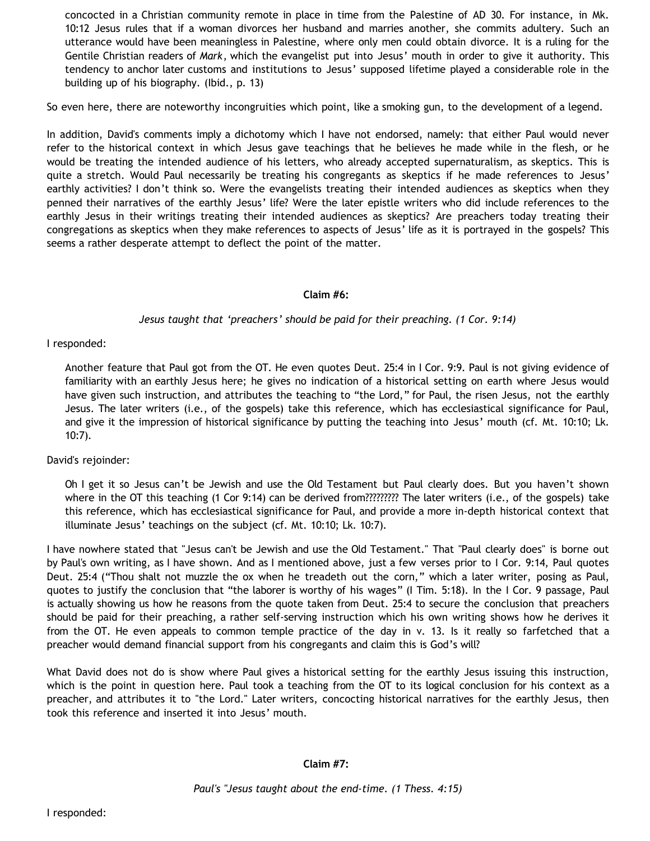concocted in a Christian community remote in place in time from the Palestine of AD 30. For instance, in Mk. 10:12 Jesus rules that if a woman divorces her husband and marries another, she commits adultery. Such an utterance would have been meaningless in Palestine, where only men could obtain divorce. It is a ruling for the Gentile Christian readers of *Mark*, which the evangelist put into Jesus' mouth in order to give it authority. This tendency to anchor later customs and institutions to Jesus' supposed lifetime played a considerable role in the building up of his biography. (Ibid., p. 13)

So even here, there are noteworthy incongruities which point, like a smoking gun, to the development of a legend.

In addition, David's comments imply a dichotomy which I have not endorsed, namely: that either Paul would never refer to the historical context in which Jesus gave teachings that he believes he made while in the flesh, or he would be treating the intended audience of his letters, who already accepted supernaturalism, as skeptics. This is quite a stretch. Would Paul necessarily be treating his congregants as skeptics if he made references to Jesus' earthly activities? I don't think so. Were the evangelists treating their intended audiences as skeptics when they penned their narratives of the earthly Jesus' life? Were the later epistle writers who did include references to the earthly Jesus in their writings treating their intended audiences as skeptics? Are preachers today treating their congregations as skeptics when they make references to aspects of Jesus' life as it is portrayed in the gospels? This seems a rather desperate attempt to deflect the point of the matter.

# **Claim #6:**

# *Jesus taught that 'preachers' should be paid for their preaching. (1 Cor. 9:14)*

# I responded:

Another feature that Paul got from the OT. He even quotes Deut. 25:4 in I Cor. 9:9. Paul is not giving evidence of familiarity with an earthly Jesus here; he gives no indication of a historical setting on earth where Jesus would have given such instruction, and attributes the teaching to "the Lord," for Paul, the risen Jesus, not the earthly Jesus. The later writers (i.e., of the gospels) take this reference, which has ecclesiastical significance for Paul, and give it the impression of historical significance by putting the teaching into Jesus' mouth (cf. Mt. 10:10; Lk. 10:7).

# David's rejoinder:

Oh I get it so Jesus can't be Jewish and use the Old Testament but Paul clearly does. But you haven't shown where in the OT this teaching (1 Cor 9:14) can be derived from????????? The later writers (i.e., of the gospels) take this reference, which has ecclesiastical significance for Paul, and provide a more in-depth historical context that illuminate Jesus' teachings on the subject (cf. Mt. 10:10; Lk. 10:7).

I have nowhere stated that "Jesus can't be Jewish and use the Old Testament." That "Paul clearly does" is borne out by Paul's own writing, as I have shown. And as I mentioned above, just a few verses prior to I Cor. 9:14, Paul quotes Deut. 25:4 ("Thou shalt not muzzle the ox when he treadeth out the corn," which a later writer, posing as Paul, quotes to justify the conclusion that "the laborer is worthy of his wages" (I Tim. 5:18). In the I Cor. 9 passage, Paul is actually showing us how he reasons from the quote taken from Deut. 25:4 to secure the conclusion that preachers should be paid for their preaching, a rather self-serving instruction which his own writing shows how he derives it from the OT. He even appeals to common temple practice of the day in v. 13. Is it really so farfetched that a preacher would demand financial support from his congregants and claim this is God's will?

What David does not do is show where Paul gives a historical setting for the earthly Jesus issuing this instruction, which is the point in question here. Paul took a teaching from the OT to its logical conclusion for his context as a preacher, and attributes it to "the Lord." Later writers, concocting historical narratives for the earthly Jesus, then took this reference and inserted it into Jesus' mouth.

# **Claim #7:**